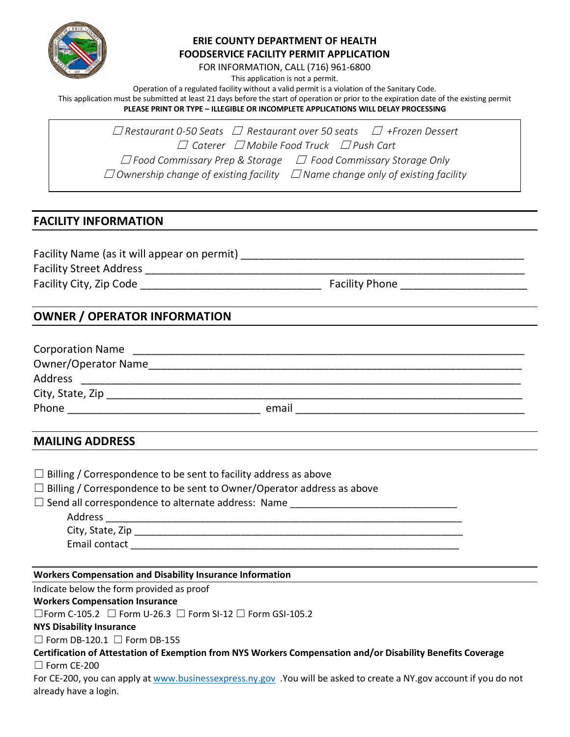

### **ERIE COUNTY DEPARTMENT OF HEALTH FOODSERVICE FACILITY PERMIT APPLICATION**

FOR INFORMATION, CALL (716) 961-6800

This application is not a permit.

Operation of a regulated facility without a valid permit is a violation of the Sanitary Code.

This application must be submitted at least 21 days before the start of operation or prior to the expiration date of the existing permit **PLEASE PRINT OR TYPE – ILLEGIBLE OR INCOMPLETE APPLICATIONS WILL DELAY PROCESSING**

☐ *Restaurant 0-50 Seats* ☐ *Restaurant over 50 seats* ☐ *+Frozen Dessert* ☐ *Caterer* ☐ *Mobile Food Truck* ☐ *Push Cart* ☐ *Food Commissary Prep & Storage* ☐ *Food Commissary Storage Only* ☐ *Ownership change of existing facility* ☐ *Name change only of existing facility*

# **FACILITY INFORMATION**

Facility Name (as it will appear on permit) \_\_\_\_\_\_\_\_\_\_\_\_\_\_\_\_\_\_\_\_\_\_\_\_\_\_\_\_\_\_\_\_\_\_\_\_\_\_\_\_\_\_\_\_\_\_\_ Facility Street Address \_\_\_\_\_\_\_\_\_\_\_\_\_\_\_\_\_\_\_\_\_\_\_\_\_\_\_\_\_\_\_\_\_\_\_\_\_\_\_\_\_\_\_\_\_\_\_\_\_\_\_\_\_\_\_\_\_\_\_\_\_\_\_ Facility City, Zip Code \_\_\_\_\_\_\_\_\_\_\_\_\_\_\_\_\_\_\_\_\_\_\_\_\_\_\_\_\_\_ Facility Phone \_\_\_\_\_\_\_\_\_\_\_\_\_\_\_\_\_\_\_\_\_

# **OWNER / OPERATOR INFORMATION**

| <b>Corporation Name</b>    |       |
|----------------------------|-------|
| <b>Owner/Operator Name</b> |       |
| Address                    |       |
| City, State, Zip           |       |
| Phone                      | email |

# **MAILING ADDRESS**

| $\Box$ Billing / Correspondence to be sent to facility address as above<br>$\Box$ Billing / Correspondence to be sent to Owner/Operator address as above |  |
|----------------------------------------------------------------------------------------------------------------------------------------------------------|--|
| □ Send all correspondence to alternate address: Name ___________________________                                                                         |  |
|                                                                                                                                                          |  |
|                                                                                                                                                          |  |
|                                                                                                                                                          |  |
|                                                                                                                                                          |  |
| <b>Workers Compensation and Disability Insurance Information</b>                                                                                         |  |
| Indicate below the form provided as proof                                                                                                                |  |
| <b>Workers Compensation Insurance</b>                                                                                                                    |  |
| $\Box$ Form C-105.2 $\Box$ Form U-26.3 $\Box$ Form SI-12 $\Box$ Form GSI-105.2                                                                           |  |
| <b>NYS Disability Insurance</b>                                                                                                                          |  |

 $\Box$  Form DB-120.1  $\Box$  Form DB-155

**Certification of Attestation of Exemption from NYS Workers Compensation and/or Disability Benefits Coverage** ☐ Form CE-200

For CE-200, you can apply at [www.businessexpress.ny.gov](http://www.businessexpress.ny.gov/) .You will be asked to create a NY.gov account if you do not already have a login.